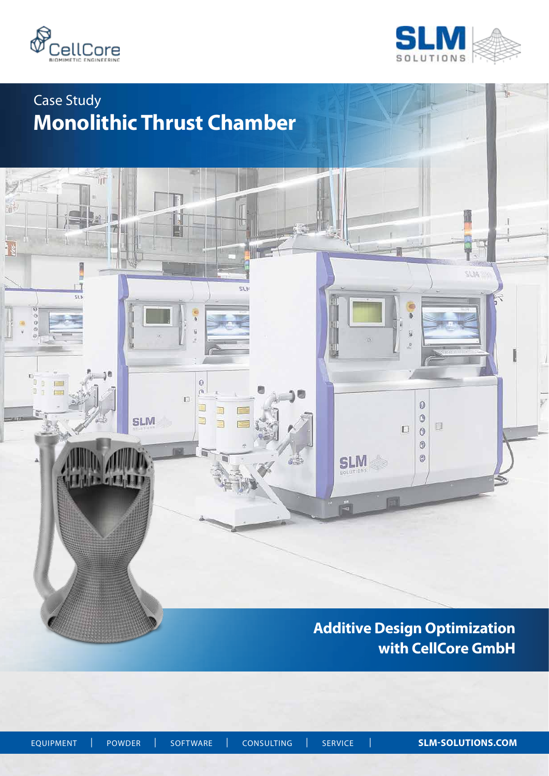

ĩщ

 $\Box$  $\overline{\text{SLb}}$ 

 $MT =$ 

 $\vec{\Omega}$  $\frac{1}{2}$ 

融



SLIA:

# Case Study **Monolithic Thrust Chamber**

IJ

 $\overline{\mathbb{Q}}$ ò  $\overline{\mathbb{D}}$ 

Ü

E

**SLM** 

E.

 $\equiv$ 

# **Additive Design Optimization with CellCore GmbH**

 $\overline{u}$ 

 $\bullet$ 

 $\circledcirc$ 

 $\Box$  $\ddot{\circ}$  $\circledcirc$  $\circledcirc$ 

**SLM** 

å

皿

EQUIPMENT| POWDER| SOFTWARE| CONSULTING| SERVICE | **SLM-SOLUTIONS.COM**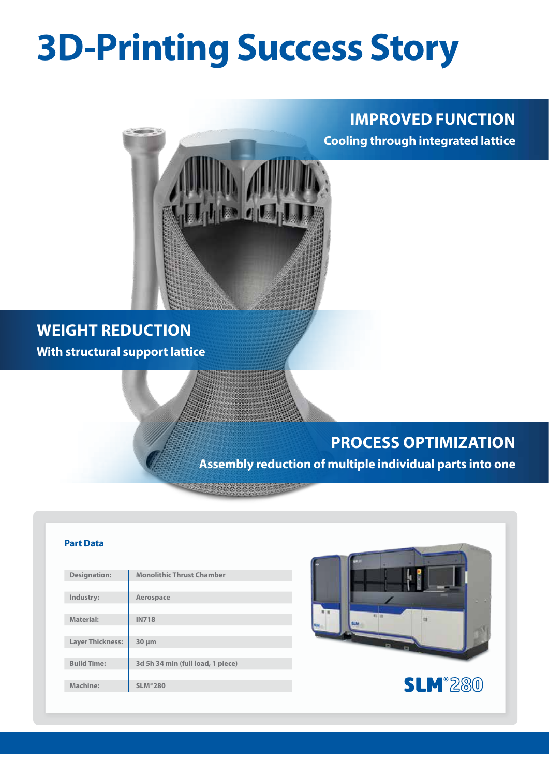# **3D-Printing Success Story**

### **IMPROVED FUNCTION Cooling through integrated lattice**



### **WEIGHT REDUCTION With structural support lattice**

# **PROCESS OPTIMIZATION**

**Assembly reduction of multiple individual parts into one**

# **Part Data Designation: Monolithic Thrust Chamber Industry: Aerospace Material: IN718 Layer Thickness: 30 µm Build Time: 3d 5h 34 min (full load, 1 piece) SLM**<sup>280</sup> **Machine: SLM®280**

**Recoccoccocco**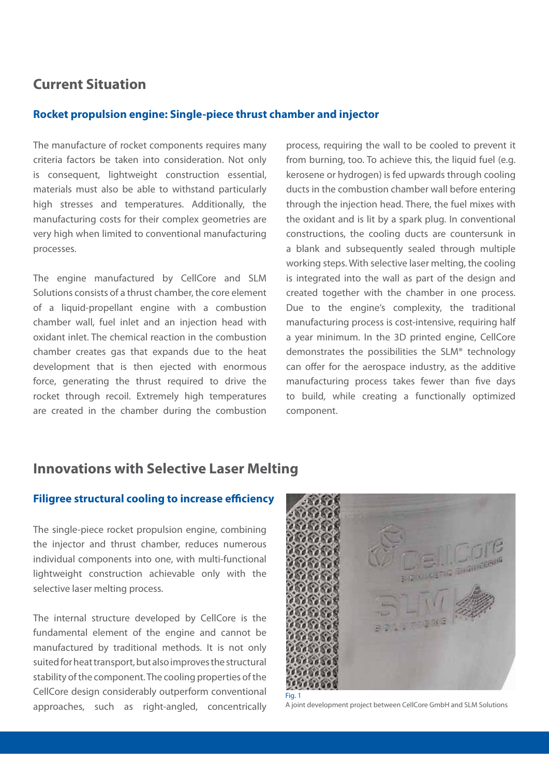#### **Current Situation**

#### **Rocket propulsion engine: Single-piece thrust chamber and injector**

The manufacture of rocket components requires many criteria factors be taken into consideration. Not only is consequent, lightweight construction essential, materials must also be able to withstand particularly high stresses and temperatures. Additionally, the manufacturing costs for their complex geometries are very high when limited to conventional manufacturing processes.

The engine manufactured by CellCore and SLM Solutions consists of a thrust chamber, the core element of a liquid-propellant engine with a combustion chamber wall, fuel inlet and an injection head with oxidant inlet. The chemical reaction in the combustion chamber creates gas that expands due to the heat development that is then ejected with enormous force, generating the thrust required to drive the rocket through recoil. Extremely high temperatures are created in the chamber during the combustion process, requiring the wall to be cooled to prevent it from burning, too. To achieve this, the liquid fuel (e.g. kerosene or hydrogen) is fed upwards through cooling ducts in the combustion chamber wall before entering through the injection head. There, the fuel mixes with the oxidant and is lit by a spark plug. In conventional constructions, the cooling ducts are countersunk in a blank and subsequently sealed through multiple working steps. With selective laser melting, the cooling is integrated into the wall as part of the design and created together with the chamber in one process. Due to the engine's complexity, the traditional manufacturing process is cost-intensive, requiring half a year minimum. In the 3D printed engine, CellCore demonstrates the possibilities the SLM® technology can offer for the aerospace industry, as the additive manufacturing process takes fewer than five days to build, while creating a functionally optimized component.

#### **Innovations with Selective Laser Melting**

#### **Filigree structural cooling to increase efficiency**

The single-piece rocket propulsion engine, combining the injector and thrust chamber, reduces numerous individual components into one, with multi-functional lightweight construction achievable only with the selective laser melting process.

The internal structure developed by CellCore is the fundamental element of the engine and cannot be manufactured by traditional methods. It is not only suited for heat transport, but also improves the structural stability of the component. The cooling properties of the CellCore design considerably outperform conventional approaches, such as right-angled, concentrically



A joint development project between CellCore GmbH and SLM Solutions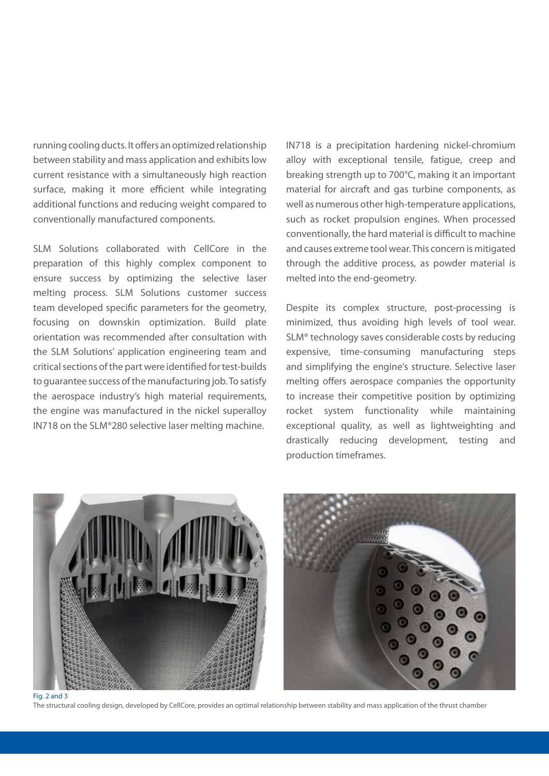running cooling ducts. It offers an optimized relationship between stability and mass application and exhibits low current resistance with a simultaneously high reaction surface, making it more efficient while integrating additional functions and reducing weight compared to conventionally manufactured components.

SLM Solutions collaborated with CellCore in the preparation of this highly complex component to ensure success by optimizing the selective laser melting process. SLM Solutions customer success team developed specific parameters for the geometry, focusing on downskin optimization. Build plate orientation was recommended after consultation with the SLM Solutions' application engineering team and critical sections of the part were identified for test-builds to guarantee success of the manufacturing job. To satisfy the aerospace industry's high material requirements, the engine was manufactured in the nickel superalloy IN718 on the SLM®280 selective laser melting machine.

IN718 is a precipitation hardening nickel-chromium alloy with exceptional tensile, fatigue, creep and breaking strength up to 700°C, making it an important material for aircraft and gas turbine components, as well as numerous other high-temperature applications, such as rocket propulsion engines. When processed conventionally, the hard material is difficult to machine and causes extreme tool wear. This concern is mitigated through the additive process, as powder material is melted into the end-geometry.

Despite its complex structure, post-processing is minimized, thus avoiding high levels of tool wear. SLM® technology saves considerable costs by reducing expensive, time-consuming manufacturing steps and simplifying the engine's structure. Selective laser melting offers aerospace companies the opportunity to increase their competitive position by optimizing rocket system functionality while maintaining exceptional quality, as well as lightweighting and drastically reducing development, testing and production timeframes.





The structural cooling design, developed by CellCore, provides an optimal relationship between stability and mass application of the thrust chamber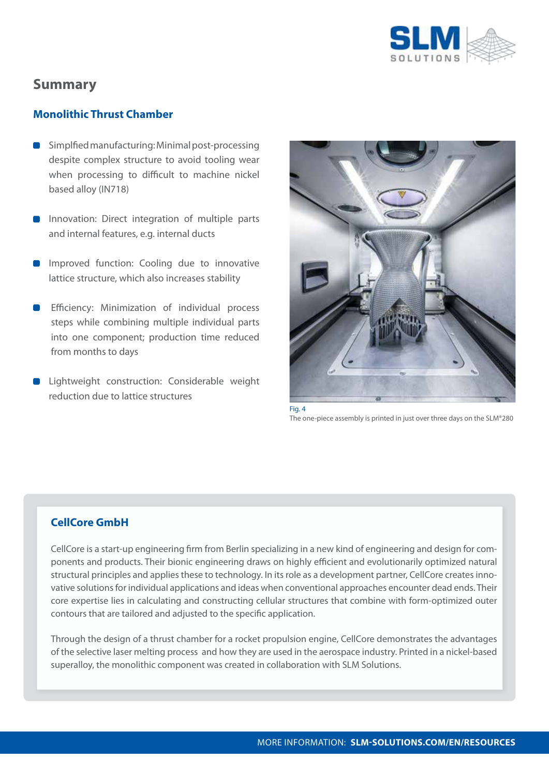

### **Summary**

#### **Monolithic Thrust Chamber**

- **Simplfied manufacturing: Minimal post-processing** despite complex structure to avoid tooling wear when processing to difficult to machine nickel based alloy (IN718)
- **Innovation: Direct integration of multiple parts** and internal features, e.g. internal ducts
- **Improved function: Cooling due to innovative** lattice structure, which also increases stability
- Efficiency: Minimization of individual process steps while combining multiple individual parts into one component; production time reduced from months to days
- **D** Lightweight construction: Considerable weight reduction due to lattice structures



Fig. 4 The one-piece assembly is printed in just over three days on the SLM®280

#### **CellCore GmbH**

CellCore is a start-up engineering firm from Berlin specializing in a new kind of engineering and design for components and products. Their bionic engineering draws on highly efficient and evolutionarily optimized natural structural principles and applies these to technology. In its role as a development partner, CellCore creates innovative solutions for individual applications and ideas when conventional approaches encounter dead ends. Their core expertise lies in calculating and constructing cellular structures that combine with form-optimized outer contours that are tailored and adjusted to the specific application.

Through the design of a thrust chamber for a rocket propulsion engine, CellCore demonstrates the advantages of the selective laser melting process and how they are used in the aerospace industry. Printed in a nickel-based superalloy, the monolithic component was created in collaboration with SLM Solutions.